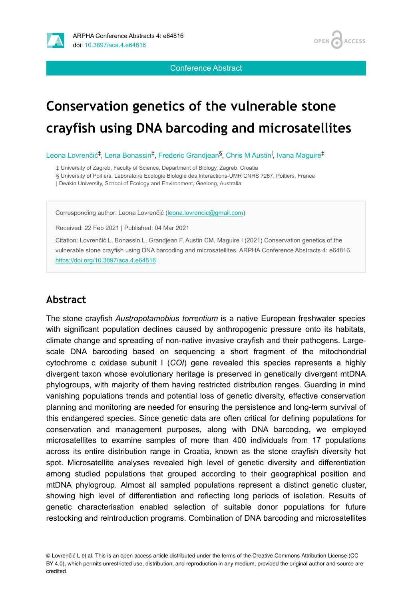

Conference Abstract

OPEN<sub>4</sub>

**ACCESS** 

# **Conservation genetics of the vulnerable stone crayfish using DNA barcoding and microsatellites**

Leona Lovrenčić<sup>‡</sup>, Lena Bonassin<sup>‡</sup>, Frederic Grandjean<sup>§</sup>, Chris M Austin<sup>I</sup>, Ivana Maguire<sup>‡</sup>

‡ University of Zagreb, Faculty of Science, Department of Biology, Zagreb, Croatia

§ University of Poitiers, Laboratoire Ecologie Biologie des Interactions-UMR CNRS 7267, Poitiers, France

| Deakin University, School of Ecology and Environment, Geelong, Australia

Corresponding author: Leona Lovrenčić [\(leona.lovrencic@gmail.com\)](mailto:leona.lovrencic@gmail.com)

Received: 22 Feb 2021 | Published: 04 Mar 2021

Citation: Lovrenčić L, Bonassin L, Grandjean F, Austin CM, Maguire I (2021) Conservation genetics of the vulnerable stone crayfish using DNA barcoding and microsatellites. ARPHA Conference Abstracts 4: e64816. <https://doi.org/10.3897/aca.4.e64816>

#### **Abstract**

The stone crayfish *Austropotamobius torrentium* is a native European freshwater species with significant population declines caused by anthropogenic pressure onto its habitats, climate change and spreading of non-native invasive crayfish and their pathogens. Largescale DNA barcoding based on sequencing a short fragment of the mitochondrial cytochrome c oxidase subunit I (*COI*) gene revealed this species represents a highly divergent taxon whose evolutionary heritage is preserved in genetically divergent mtDNA phylogroups, with majority of them having restricted distribution ranges. Guarding in mind vanishing populations trends and potential loss of genetic diversity, effective conservation planning and monitoring are needed for ensuring the persistence and long-term survival of this endangered species. Since genetic data are often critical for defining populations for conservation and management purposes, along with DNA barcoding, we employed microsatellites to examine samples of more than 400 individuals from 17 populations across its entire distribution range in Croatia, known as the stone crayfish diversity hot spot. Microsatellite analyses revealed high level of genetic diversity and differentiation among studied populations that grouped according to their geographical position and mtDNA phylogroup. Almost all sampled populations represent a distinct genetic cluster, showing high level of differentiation and reflecting long periods of isolation. Results of genetic characterisation enabled selection of suitable donor populations for future restocking and reintroduction programs. Combination of DNA barcoding and microsatellites

© Lovrenčić L et al. This is an open access article distributed under the terms of the Creative Commons Attribution License (CC BY 4.0), which permits unrestricted use, distribution, and reproduction in any medium, provided the original author and source are credited.